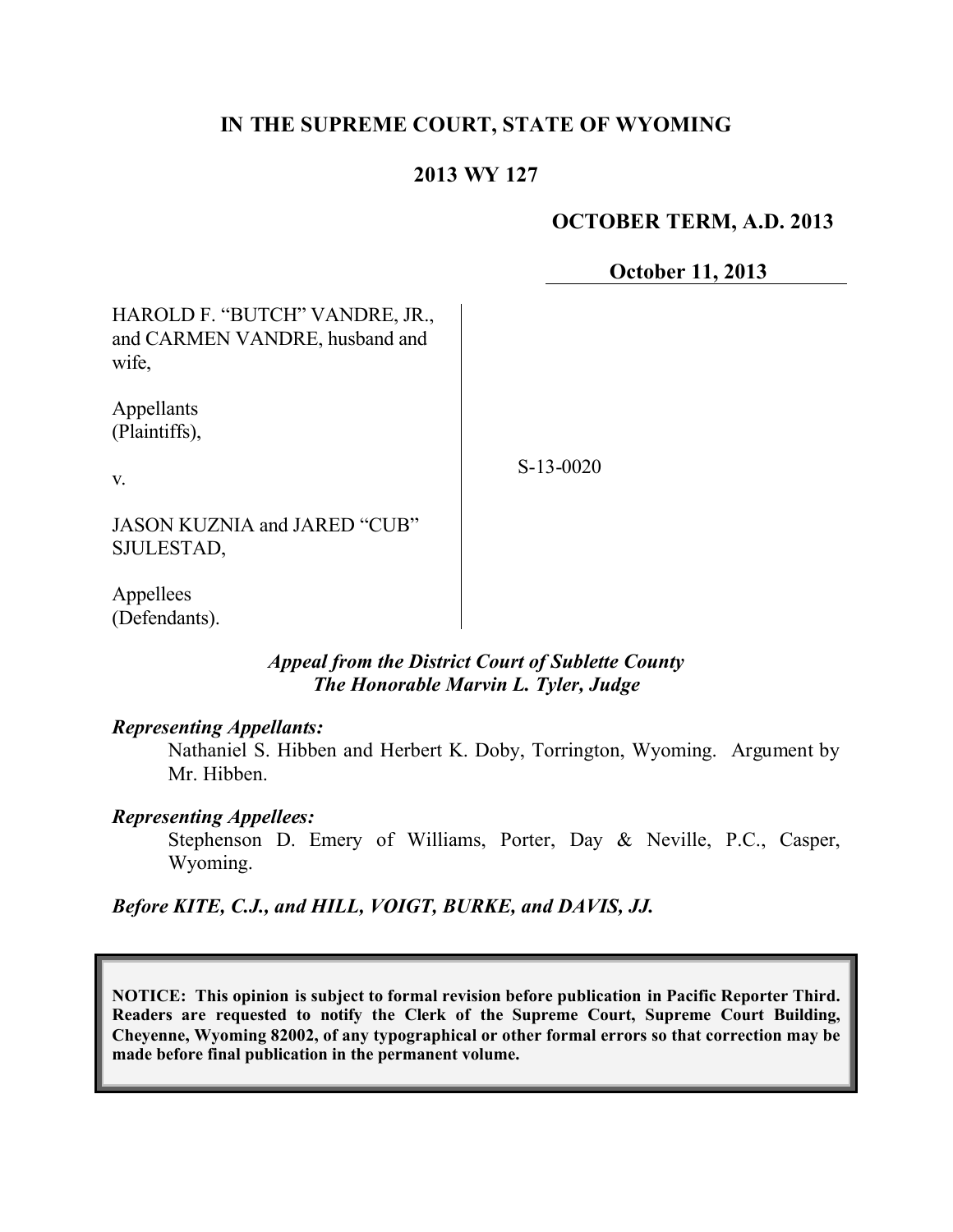# **IN THE SUPREME COURT, STATE OF WYOMING**

# **2013 WY 127**

### **OCTOBER TERM, A.D. 2013**

**October 11, 2013**

| HAROLD F. "BUTCH" VANDRE, JR.,<br>and CARMEN VANDRE, husband and<br>wife, |             |
|---------------------------------------------------------------------------|-------------|
| Appellants<br>(Plaintiffs),                                               |             |
| $V_{\cdot}$                                                               | $S-13-0020$ |
| JASON KUZNIA and JARED "CUB"<br>SJULESTAD,                                |             |
| Appellees<br>(Defendants).                                                |             |

# *Appeal from the District Court of Sublette County The Honorable Marvin L. Tyler, Judge*

#### *Representing Appellants:*

Nathaniel S. Hibben and Herbert K. Doby, Torrington, Wyoming. Argument by Mr. Hibben.

#### *Representing Appellees:*

Stephenson D. Emery of Williams, Porter, Day & Neville, P.C., Casper, Wyoming.

*Before KITE, C.J., and HILL, VOIGT, BURKE, and DAVIS, JJ.*

**NOTICE: This opinion is subject to formal revision before publication in Pacific Reporter Third. Readers are requested to notify the Clerk of the Supreme Court, Supreme Court Building, Cheyenne, Wyoming 82002, of any typographical or other formal errors so that correction may be made before final publication in the permanent volume.**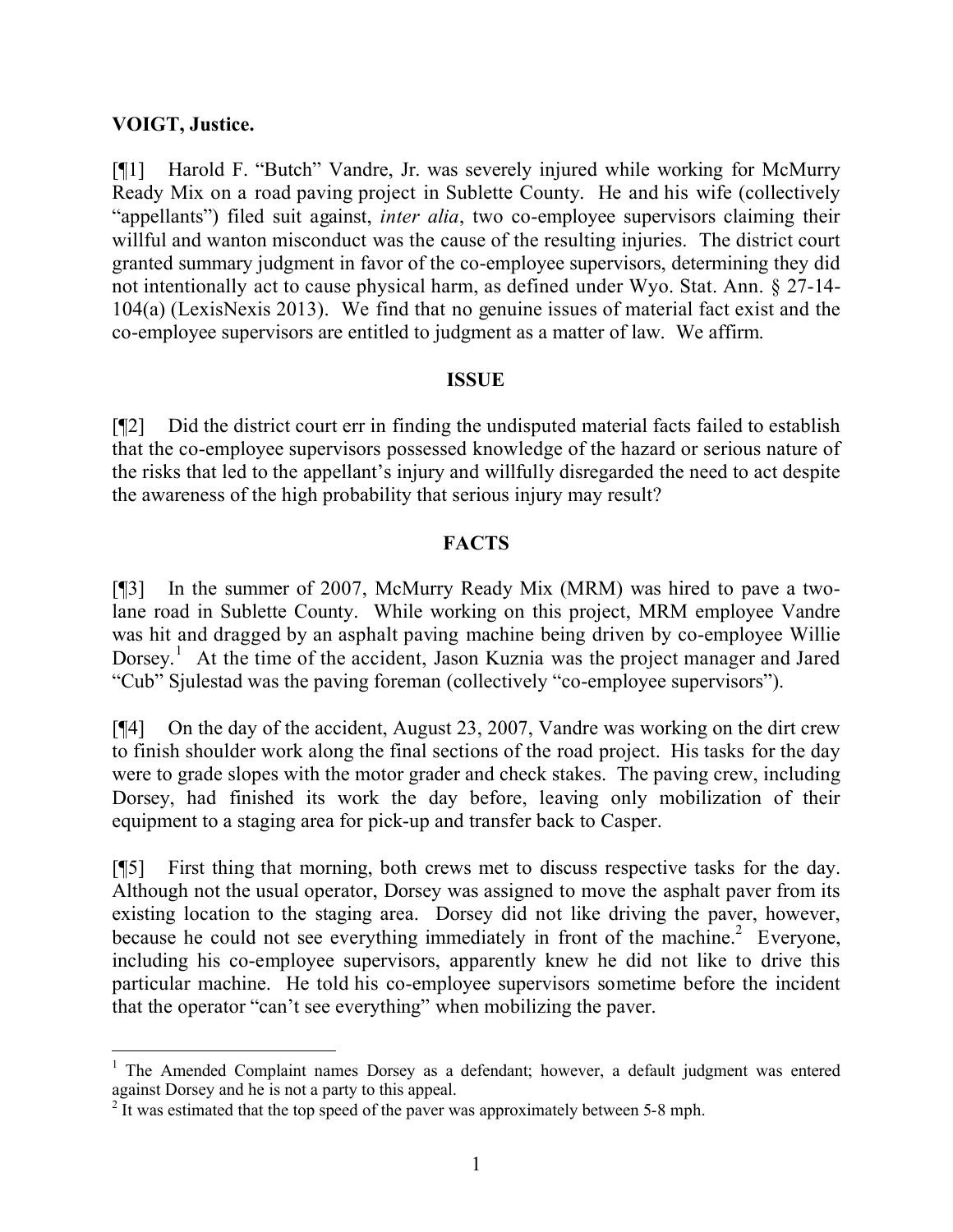### **VOIGT, Justice.**

 $\overline{a}$ 

[¶1] Harold F. "Butch" Vandre, Jr. was severely injured while working for McMurry Ready Mix on a road paving project in Sublette County. He and his wife (collectively "appellants") filed suit against, *inter alia*, two co-employee supervisors claiming their willful and wanton misconduct was the cause of the resulting injuries. The district court granted summary judgment in favor of the co-employee supervisors, determining they did not intentionally act to cause physical harm, as defined under Wyo. Stat. Ann. § 27-14- 104(a) (LexisNexis 2013). We find that no genuine issues of material fact exist and the co-employee supervisors are entitled to judgment as a matter of law. We affirm.

#### **ISSUE**

[¶2] Did the district court err in finding the undisputed material facts failed to establish that the co-employee supervisors possessed knowledge of the hazard or serious nature of the risks that led to the appellant's injury and willfully disregarded the need to act despite the awareness of the high probability that serious injury may result?

# **FACTS**

[¶3] In the summer of 2007, McMurry Ready Mix (MRM) was hired to pave a twolane road in Sublette County. While working on this project, MRM employee Vandre was hit and dragged by an asphalt paving machine being driven by co-employee Willie Dorsey.<sup>1</sup> At the time of the accident, Jason Kuznia was the project manager and Jared "Cub" Sjulestad was the paving foreman (collectively "co-employee supervisors").

[¶4] On the day of the accident, August 23, 2007, Vandre was working on the dirt crew to finish shoulder work along the final sections of the road project. His tasks for the day were to grade slopes with the motor grader and check stakes. The paving crew, including Dorsey, had finished its work the day before, leaving only mobilization of their equipment to a staging area for pick-up and transfer back to Casper.

[¶5] First thing that morning, both crews met to discuss respective tasks for the day. Although not the usual operator, Dorsey was assigned to move the asphalt paver from its existing location to the staging area. Dorsey did not like driving the paver, however, because he could not see everything immediately in front of the machine.<sup>2</sup> Everyone, including his co-employee supervisors, apparently knew he did not like to drive this particular machine. He told his co-employee supervisors sometime before the incident that the operator "can't see everything" when mobilizing the paver.

<sup>&</sup>lt;sup>1</sup> The Amended Complaint names Dorsey as a defendant; however, a default judgment was entered against Dorsey and he is not a party to this appeal.

<sup>&</sup>lt;sup>2</sup> It was estimated that the top speed of the paver was approximately between 5-8 mph.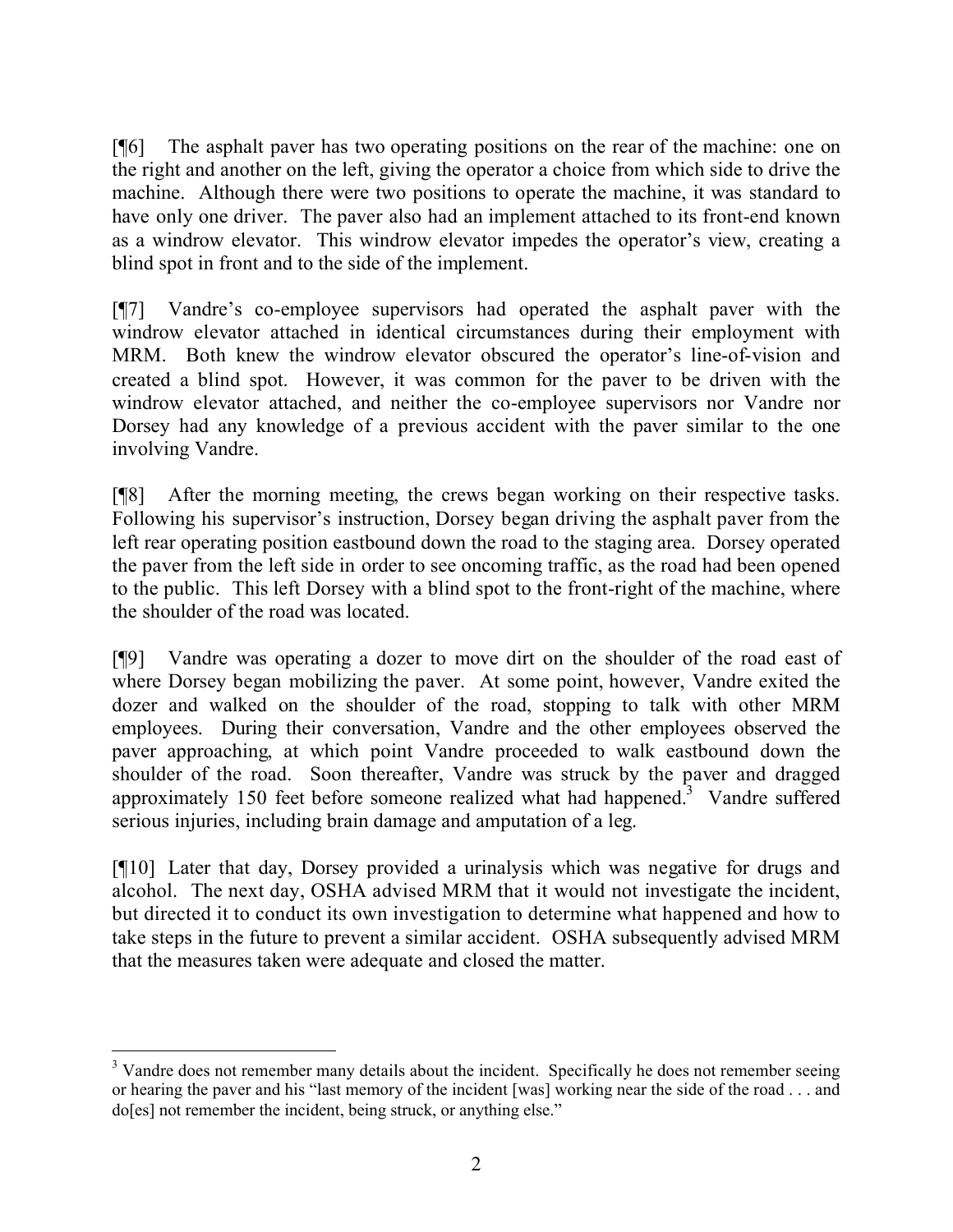[¶6] The asphalt paver has two operating positions on the rear of the machine: one on the right and another on the left, giving the operator a choice from which side to drive the machine. Although there were two positions to operate the machine, it was standard to have only one driver. The paver also had an implement attached to its front-end known as a windrow elevator. This windrow elevator impedes the operator's view, creating a blind spot in front and to the side of the implement.

[¶7] Vandre's co-employee supervisors had operated the asphalt paver with the windrow elevator attached in identical circumstances during their employment with MRM. Both knew the windrow elevator obscured the operator's line-of-vision and created a blind spot. However, it was common for the paver to be driven with the windrow elevator attached, and neither the co-employee supervisors nor Vandre nor Dorsey had any knowledge of a previous accident with the paver similar to the one involving Vandre.

[¶8] After the morning meeting, the crews began working on their respective tasks. Following his supervisor's instruction, Dorsey began driving the asphalt paver from the left rear operating position eastbound down the road to the staging area. Dorsey operated the paver from the left side in order to see oncoming traffic, as the road had been opened to the public. This left Dorsey with a blind spot to the front-right of the machine, where the shoulder of the road was located.

[¶9] Vandre was operating a dozer to move dirt on the shoulder of the road east of where Dorsey began mobilizing the paver. At some point, however, Vandre exited the dozer and walked on the shoulder of the road, stopping to talk with other MRM employees. During their conversation, Vandre and the other employees observed the paver approaching, at which point Vandre proceeded to walk eastbound down the shoulder of the road. Soon thereafter, Vandre was struck by the paver and dragged approximately 150 feet before someone realized what had happened.<sup>3</sup> Vandre suffered serious injuries, including brain damage and amputation of a leg.

[¶10] Later that day, Dorsey provided a urinalysis which was negative for drugs and alcohol. The next day, OSHA advised MRM that it would not investigate the incident, but directed it to conduct its own investigation to determine what happened and how to take steps in the future to prevent a similar accident. OSHA subsequently advised MRM that the measures taken were adequate and closed the matter.

 $\overline{a}$ <sup>3</sup> Vandre does not remember many details about the incident. Specifically he does not remember seeing or hearing the paver and his "last memory of the incident [was] working near the side of the road . . . and do[es] not remember the incident, being struck, or anything else."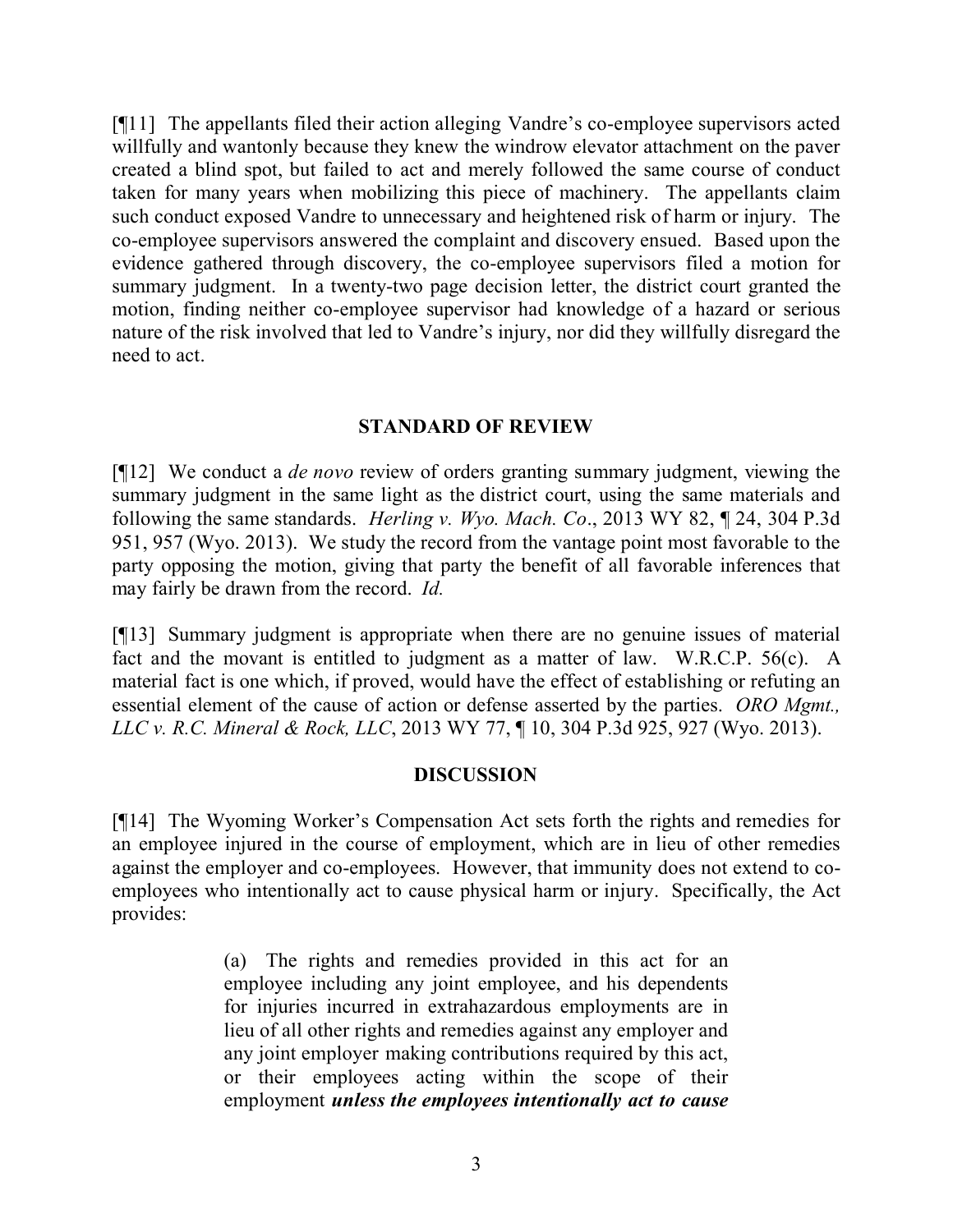[¶11] The appellants filed their action alleging Vandre's co-employee supervisors acted willfully and wantonly because they knew the windrow elevator attachment on the paver created a blind spot, but failed to act and merely followed the same course of conduct taken for many years when mobilizing this piece of machinery. The appellants claim such conduct exposed Vandre to unnecessary and heightened risk of harm or injury. The co-employee supervisors answered the complaint and discovery ensued. Based upon the evidence gathered through discovery, the co-employee supervisors filed a motion for summary judgment. In a twenty-two page decision letter, the district court granted the motion, finding neither co-employee supervisor had knowledge of a hazard or serious nature of the risk involved that led to Vandre's injury, nor did they willfully disregard the need to act.

#### **STANDARD OF REVIEW**

[¶12] We conduct a *de novo* review of orders granting summary judgment, viewing the summary judgment in the same light as the district court, using the same materials and following the same standards. *Herling v. Wyo. Mach. Co*., 2013 WY 82, ¶ 24, 304 P.3d 951, 957 (Wyo. 2013). We study the record from the vantage point most favorable to the party opposing the motion, giving that party the benefit of all favorable inferences that may fairly be drawn from the record. *Id.*

[¶13] Summary judgment is appropriate when there are no genuine issues of material fact and the movant is entitled to judgment as a matter of law. W.R.C.P. 56(c). A material fact is one which, if proved, would have the effect of establishing or refuting an essential element of the cause of action or defense asserted by the parties. *ORO Mgmt., LLC v. R.C. Mineral & Rock, LLC*, 2013 WY 77, ¶ 10, 304 P.3d 925, 927 (Wyo. 2013).

#### **DISCUSSION**

[¶14] The Wyoming Worker's Compensation Act sets forth the rights and remedies for an employee injured in the course of employment, which are in lieu of other remedies against the employer and co-employees. However, that immunity does not extend to coemployees who intentionally act to cause physical harm or injury. Specifically, the Act provides:

> (a) The rights and remedies provided in this act for an employee including any joint employee, and his dependents for injuries incurred in extrahazardous employments are in lieu of all other rights and remedies against any employer and any joint employer making contributions required by this act, or their employees acting within the scope of their employment *unless the employees intentionally act to cause*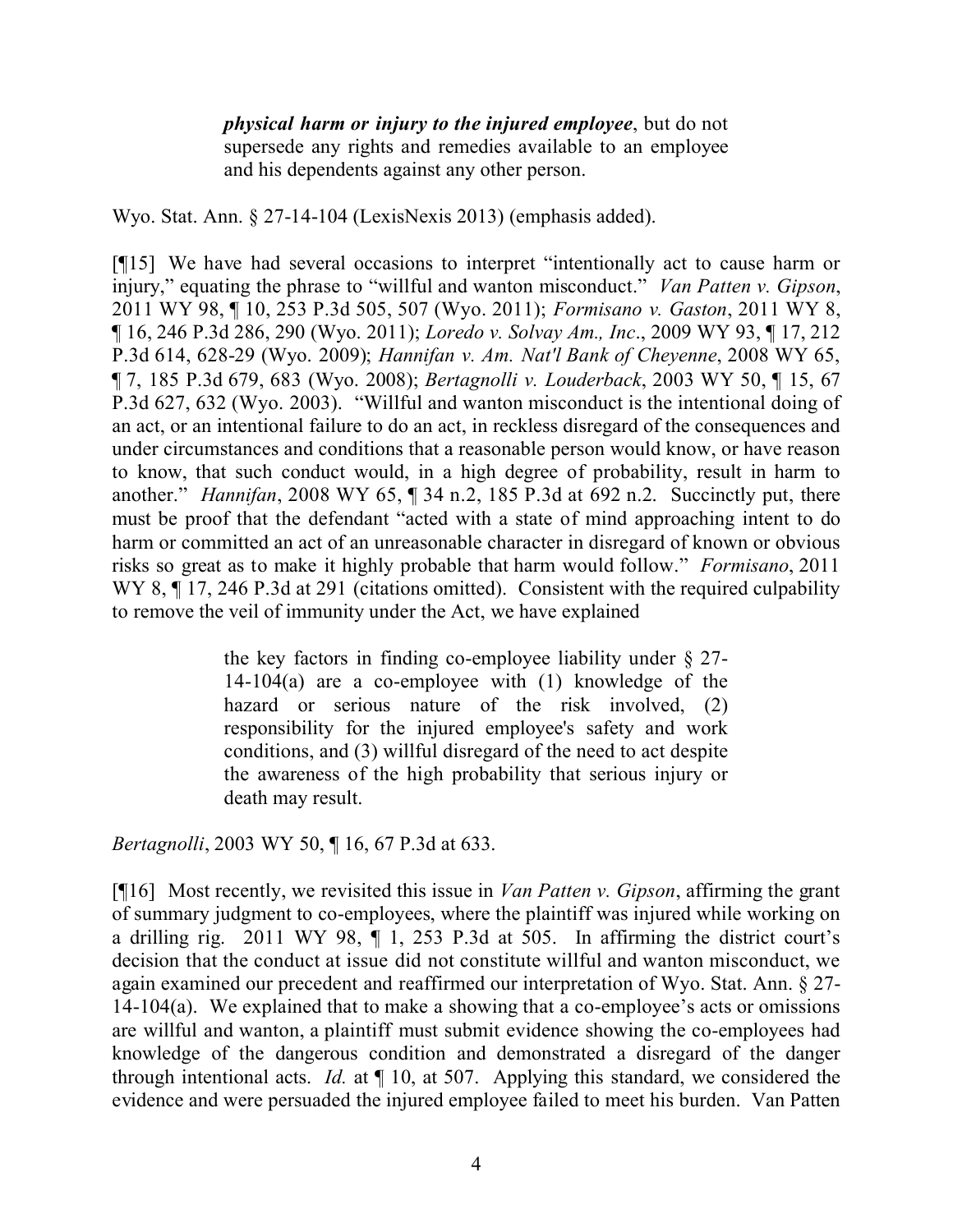*physical harm or injury to the injured employee*, but do not supersede any rights and remedies available to an employee and his dependents against any other person.

Wyo. Stat. Ann. § 27-14-104 (LexisNexis 2013) (emphasis added).

[¶15] We have had several occasions to interpret "intentionally act to cause harm or injury," equating the phrase to "willful and wanton misconduct." *Van Patten v. Gipson*, 2011 WY 98, ¶ 10, 253 P.3d 505, 507 (Wyo. 2011); *Formisano v. Gaston*, 2011 WY 8, ¶ 16, 246 P.3d 286, 290 (Wyo. 2011); *Loredo v. Solvay Am., Inc*., 2009 WY 93, ¶ 17, 212 P.3d 614, 628-29 (Wyo. 2009); *Hannifan v. Am. Nat'l Bank of Cheyenne*, 2008 WY 65, ¶ 7, 185 P.3d 679, 683 (Wyo. 2008); *Bertagnolli v. Louderback*, 2003 WY 50, ¶ 15, 67 P.3d 627, 632 (Wyo. 2003). "Willful and wanton misconduct is the intentional doing of an act, or an intentional failure to do an act, in reckless disregard of the consequences and under circumstances and conditions that a reasonable person would know, or have reason to know, that such conduct would, in a high degree of probability, result in harm to another." *Hannifan*, 2008 WY 65, ¶ 34 n.2, 185 P.3d at 692 n.2. Succinctly put, there must be proof that the defendant "acted with a state of mind approaching intent to do harm or committed an act of an unreasonable character in disregard of known or obvious risks so great as to make it highly probable that harm would follow." *Formisano*, 2011 WY 8,  $\P$  17, 246 P.3d at 291 (citations omitted). Consistent with the required culpability to remove the veil of immunity under the Act, we have explained

> the key factors in finding co-employee liability under § 27- 14-104(a) are a co-employee with (1) knowledge of the hazard or serious nature of the risk involved, (2) responsibility for the injured employee's safety and work conditions, and (3) willful disregard of the need to act despite the awareness of the high probability that serious injury or death may result.

*Bertagnolli*, 2003 WY 50, ¶ 16, 67 P.3d at 633.

[¶16] Most recently, we revisited this issue in *Van Patten v. Gipson*, affirming the grant of summary judgment to co-employees, where the plaintiff was injured while working on a drilling rig. 2011 WY 98,  $\P$  1, 253 P.3d at 505. In affirming the district court's decision that the conduct at issue did not constitute willful and wanton misconduct, we again examined our precedent and reaffirmed our interpretation of Wyo. Stat. Ann. § 27- 14-104(a). We explained that to make a showing that a co-employee's acts or omissions are willful and wanton, a plaintiff must submit evidence showing the co-employees had knowledge of the dangerous condition and demonstrated a disregard of the danger through intentional acts. *Id.* at ¶ 10, at 507. Applying this standard, we considered the evidence and were persuaded the injured employee failed to meet his burden. Van Patten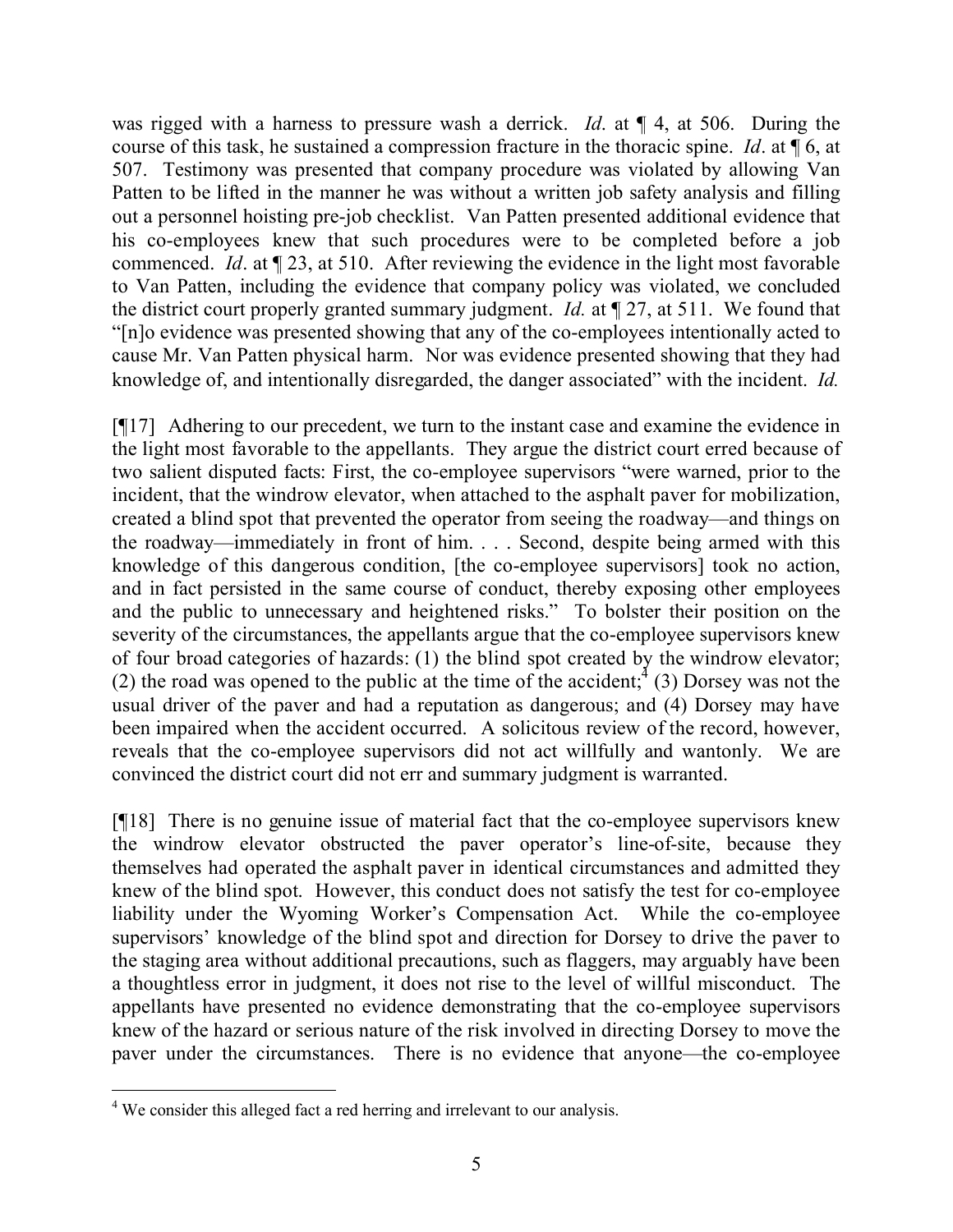was rigged with a harness to pressure wash a derrick. *Id*. at ¶ 4, at 506. During the course of this task, he sustained a compression fracture in the thoracic spine. *Id*. at ¶ 6, at 507. Testimony was presented that company procedure was violated by allowing Van Patten to be lifted in the manner he was without a written job safety analysis and filling out a personnel hoisting pre-job checklist. Van Patten presented additional evidence that his co-employees knew that such procedures were to be completed before a job commenced. *Id.* at  $\sqrt{23}$ , at 510. After reviewing the evidence in the light most favorable to Van Patten, including the evidence that company policy was violated, we concluded the district court properly granted summary judgment. *Id.* at ¶ 27, at 511. We found that "[n]o evidence was presented showing that any of the co-employees intentionally acted to cause Mr. Van Patten physical harm. Nor was evidence presented showing that they had knowledge of, and intentionally disregarded, the danger associated" with the incident. *Id.*

[¶17] Adhering to our precedent, we turn to the instant case and examine the evidence in the light most favorable to the appellants. They argue the district court erred because of two salient disputed facts: First, the co-employee supervisors "were warned, prior to the incident, that the windrow elevator, when attached to the asphalt paver for mobilization, created a blind spot that prevented the operator from seeing the roadway—and things on the roadway—immediately in front of him. . . . Second, despite being armed with this knowledge of this dangerous condition, [the co-employee supervisors] took no action, and in fact persisted in the same course of conduct, thereby exposing other employees and the public to unnecessary and heightened risks." To bolster their position on the severity of the circumstances, the appellants argue that the co-employee supervisors knew of four broad categories of hazards: (1) the blind spot created by the windrow elevator; (2) the road was opened to the public at the time of the accident;  $^{4}$  (3) Dorsey was not the usual driver of the paver and had a reputation as dangerous; and (4) Dorsey may have been impaired when the accident occurred. A solicitous review of the record, however, reveals that the co-employee supervisors did not act willfully and wantonly. We are convinced the district court did not err and summary judgment is warranted.

[¶18] There is no genuine issue of material fact that the co-employee supervisors knew the windrow elevator obstructed the paver operator's line-of-site, because they themselves had operated the asphalt paver in identical circumstances and admitted they knew of the blind spot. However, this conduct does not satisfy the test for co-employee liability under the Wyoming Worker's Compensation Act. While the co-employee supervisors' knowledge of the blind spot and direction for Dorsey to drive the paver to the staging area without additional precautions, such as flaggers, may arguably have been a thoughtless error in judgment, it does not rise to the level of willful misconduct. The appellants have presented no evidence demonstrating that the co-employee supervisors knew of the hazard or serious nature of the risk involved in directing Dorsey to move the paver under the circumstances. There is no evidence that anyone—the co-employee

 <sup>4</sup> We consider this alleged fact a red herring and irrelevant to our analysis.